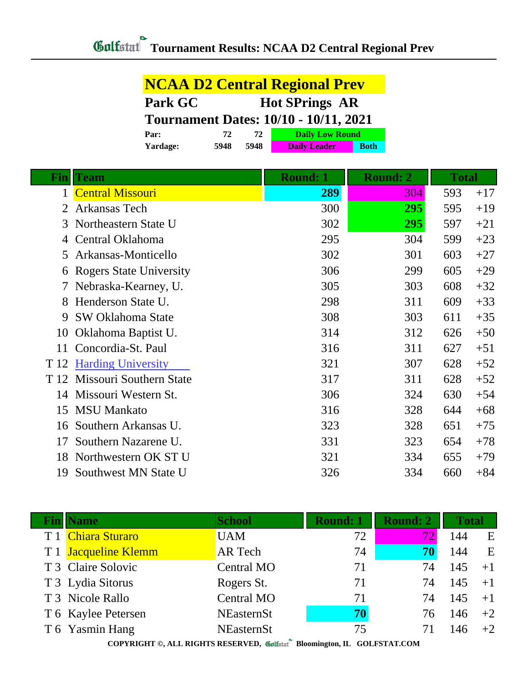| <b>NCAA D2 Central Regional Prev</b>         |      |      |                        |             |  |
|----------------------------------------------|------|------|------------------------|-------------|--|
| Park GC<br><b>Hot SPrings AR</b>             |      |      |                        |             |  |
| <b>Tournament Dates: 10/10 - 10/11, 2021</b> |      |      |                        |             |  |
| Par:                                         | 72   | 72   | <b>Daily Low Round</b> |             |  |
| Yardage:                                     | 5948 | 5948 | <b>Daily Leader</b>    | <b>Both</b> |  |

| Fin  | Team                           | <b>Round: 1</b> | <b>Round: 2</b> | <b>Total</b> |       |
|------|--------------------------------|-----------------|-----------------|--------------|-------|
|      | <b>Central Missouri</b>        | 289             | 304             | 593          | $+17$ |
| 2    | Arkansas Tech                  | 300             | 295             | 595          | $+19$ |
| 3    | Northeastern State U           | 302             | 295             | 597          | $+21$ |
| 4    | Central Oklahoma               | 295             | 304             | 599          | $+23$ |
| 5    | Arkansas-Monticello            | 302             | 301             | 603          | $+27$ |
| 6    | <b>Rogers State University</b> | 306             | 299             | 605          | $+29$ |
|      | Nebraska-Kearney, U.           | 305             | 303             | 608          | $+32$ |
| 8    | Henderson State U.             | 298             | 311             | 609          | $+33$ |
| 9    | <b>SW Oklahoma State</b>       | 308             | 303             | 611          | $+35$ |
| 10   | Oklahoma Baptist U.            | 314             | 312             | 626          | $+50$ |
| 11   | Concordia-St. Paul             | 316             | 311             | 627          | $+51$ |
|      | T 12 Harding University        | 321             | 307             | 628          | $+52$ |
| T 12 | Missouri Southern State        | 317             | 311             | 628          | $+52$ |
| 14   | Missouri Western St.           | 306             | 324             | 630          | $+54$ |
| 15   | <b>MSU Mankato</b>             | 316             | 328             | 644          | $+68$ |
| 16   | Southern Arkansas U.           | 323             | 328             | 651          | $+75$ |
| 17   | Southern Nazarene U.           | 331             | 323             | 654          | $+78$ |
| 18   | Northwestern OK ST U           | 321             | 334             | 655          | $+79$ |
| 19   | Southwest MN State U           | 326             | 334             | 660          | $+84$ |

| <b>Fin</b> Name      | <b>School</b>      | <b>Round: 1</b> | Round: 2 | <b>Total</b> |      |
|----------------------|--------------------|-----------------|----------|--------------|------|
| T 1 Chiara Sturaro   | <b>UAM</b>         | 72              | 72.      | 144          | E    |
| T 1 Jacqueline Klemm | <b>AR</b> Tech     | 74              | 70       | 144          | E    |
| T 3 Claire Solovic   | <b>Central MO</b>  | 71              | 74       | 145          | $+1$ |
| T 3 Lydia Sitorus    | Rogers St.         | 71              | 74       | 145          | $+1$ |
| T 3 Nicole Rallo     | <b>Central MO</b>  | 71              | 74       | 145          | $+1$ |
| T 6 Kaylee Petersen  | <b>NEasternSt</b>  | 70              | 76       | 146          | $+2$ |
| T 6 Yasmin Hang      | <b>NEasternSt</b>  | 75              |          | 146          | $+2$ |
|                      | <b>COLLEGE AND</b> |                 |          |              |      |

**COPYRIGHT ©, ALL RIGHTS RESERVED, Bloomington, IL GOLFSTAT.COM**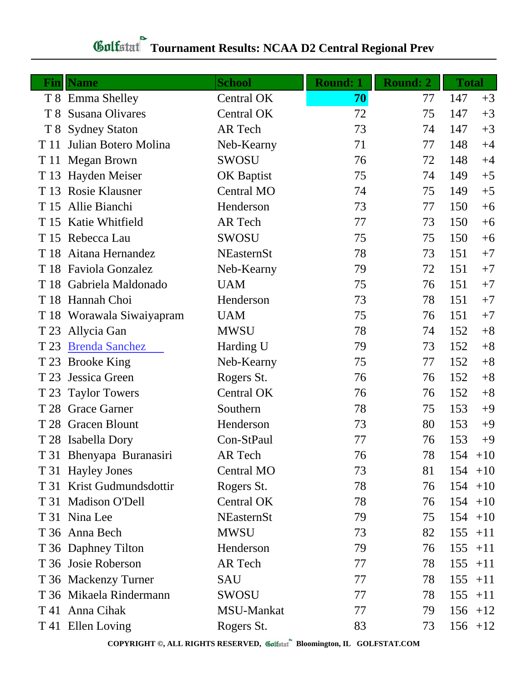## *Gulfatat* Tournament Results: NCAA D2 Central Regional Prev

|      | <b>Fin</b> Name           | <b>School</b>     | <b>Round: 1</b> | <b>Round: 2</b> | <b>Total</b> |
|------|---------------------------|-------------------|-----------------|-----------------|--------------|
|      | T 8 Emma Shelley          | Central OK        | 70              | 77              | 147<br>$+3$  |
| T 8  | Susana Olivares           | <b>Central OK</b> | 72              | 75              | 147<br>$+3$  |
| T 8  | <b>Sydney Staton</b>      | AR Tech           | 73              | 74              | 147<br>$+3$  |
| T 11 | Julian Botero Molina      | Neb-Kearny        | 71              | 77              | 148<br>$+4$  |
|      | T 11 Megan Brown          | SWOSU             | 76              | 72              | 148<br>$+4$  |
|      | T 13 Hayden Meiser        | <b>OK Baptist</b> | 75              | 74              | 149<br>$+5$  |
|      | T 13 Rosie Klausner       | <b>Central MO</b> | 74              | 75              | 149<br>$+5$  |
|      | T 15 Allie Bianchi        | Henderson         | 73              | 77              | 150<br>$+6$  |
|      | T 15 Katie Whitfield      | AR Tech           | 77              | 73              | 150<br>$+6$  |
|      | T 15 Rebecca Lau          | SWOSU             | 75              | 75              | 150<br>$+6$  |
|      | T 18 Aitana Hernandez     | <b>NEasternSt</b> | 78              | 73              | 151<br>$+7$  |
|      | T 18 Faviola Gonzalez     | Neb-Kearny        | 79              | 72              | 151<br>$+7$  |
|      | T 18 Gabriela Maldonado   | <b>UAM</b>        | 75              | 76              | 151<br>$+7$  |
|      | T 18 Hannah Choi          | Henderson         | 73              | 78              | 151<br>$+7$  |
|      | T 18 Worawala Siwaiyapram | <b>UAM</b>        | 75              | 76              | 151<br>$+7$  |
| T 23 | Allycia Gan               | <b>MWSU</b>       | 78              | 74              | 152<br>$+8$  |
| T 23 | <b>Brenda Sanchez</b>     | Harding U         | 79              | 73              | 152<br>$+8$  |
| T 23 | <b>Brooke King</b>        | Neb-Kearny        | 75              | 77              | 152<br>$+8$  |
| T 23 | Jessica Green             | Rogers St.        | 76              | 76              | 152<br>$+8$  |
| T 23 | <b>Taylor Towers</b>      | Central OK        | 76              | 76              | 152<br>$+8$  |
|      | T 28 Grace Garner         | Southern          | 78              | 75              | 153<br>$+9$  |
|      | T 28 Gracen Blount        | Henderson         | 73              | 80              | 153<br>$+9$  |
|      | T 28 Isabella Dory        | Con-StPaul        | 77              | 76              | $+9$<br>153  |
|      | T 31 Bhenyapa Buranasiri  | AR Tech           | 76              | 78              | 154<br>$+10$ |
|      | T 31 Hayley Jones         | <b>Central MO</b> | 73              | 81              | $154 + 10$   |
|      | T 31 Krist Gudmundsdottir | Rogers St.        | 78              | 76              | $154 + 10$   |
|      | T 31 Madison O'Dell       | Central OK        | 78              | 76              | $154 + 10$   |
|      | T 31 Nina Lee             | <b>NEasternSt</b> | 79              | 75              | $154 + 10$   |
|      | T 36 Anna Bech            | <b>MWSU</b>       | 73              | 82              | 155<br>$+11$ |
|      | T 36 Daphney Tilton       | Henderson         | 79              | 76              | $155 + 11$   |
|      | T 36 Josie Roberson       | AR Tech           | 77              | 78              | 155<br>$+11$ |
|      | T 36 Mackenzy Turner      | <b>SAU</b>        | 77              | 78              | 155<br>$+11$ |
|      | T 36 Mikaela Rindermann   | SWOSU             | 77              | 78              | 155<br>$+11$ |
|      | T 41 Anna Cihak           | MSU-Mankat        | 77              | 79              | $156 + 12$   |
|      | T 41 Ellen Loving         | Rogers St.        | 83              | 73              | $156 + 12$   |

**COPYRIGHT ©, ALL RIGHTS RESERVED, Bloomington, IL GOLFSTAT.COM**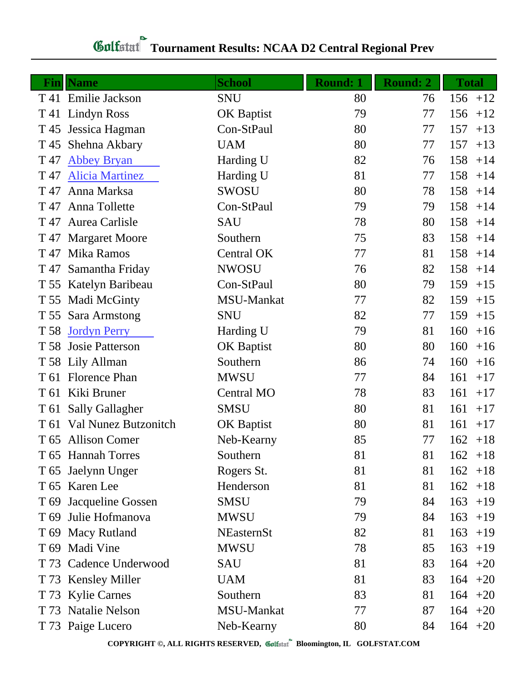## **Tournament Results: NCAA D2 Central Regional Prev**

| Fin  | <b>Name</b>                 | <b>School</b>     | <b>Round: 1</b> | <b>Round: 2</b> | <b>Total</b> |
|------|-----------------------------|-------------------|-----------------|-----------------|--------------|
|      | T 41 Emilie Jackson         | <b>SNU</b>        | 80              | 76              | $156 + 12$   |
|      | T 41 Lindyn Ross            | <b>OK Baptist</b> | 79              | 77              | 156<br>$+12$ |
| T 45 | Jessica Hagman              | Con-StPaul        | 80              | 77              | 157<br>$+13$ |
| T 45 | Shehna Akbary               | <b>UAM</b>        | 80              | 77              | 157<br>$+13$ |
| T 47 | <b>Abbey Bryan</b>          | Harding U         | 82              | 76              | 158<br>$+14$ |
| T 47 | <b>Alicia Martinez</b>      | Harding U         | 81              | 77              | 158<br>$+14$ |
| T 47 | Anna Marksa                 | SWOSU             | 80              | 78              | 158<br>$+14$ |
| T 47 | Anna Tollette               | Con-StPaul        | 79              | 79              | 158<br>$+14$ |
|      | T 47 Aurea Carlisle         | <b>SAU</b>        | 78              | 80              | 158<br>$+14$ |
|      | T 47 Margaret Moore         | Southern          | 75              | 83              | 158<br>$+14$ |
|      | T <sub>47</sub> Mika Ramos  | <b>Central OK</b> | 77              | 81              | 158<br>$+14$ |
| T 47 | Samantha Friday             | <b>NWOSU</b>      | 76              | 82              | 158<br>$+14$ |
|      | T 55 Katelyn Baribeau       | Con-StPaul        | 80              | 79              | 159<br>$+15$ |
| T 55 | Madi McGinty                | MSU-Mankat        | 77              | 82              | 159<br>$+15$ |
|      | T 55 Sara Armstong          | <b>SNU</b>        | 82              | 77              | 159<br>$+15$ |
| T 58 | <b>Jordyn Perry</b>         | Harding U         | 79              | 81              | 160<br>$+16$ |
|      | T 58 Josie Patterson        | OK Baptist        | 80              | 80              | 160<br>$+16$ |
|      | T 58 Lily Allman            | Southern          | 86              | 74              | 160<br>$+16$ |
|      | T 61 Florence Phan          | <b>MWSU</b>       | 77              | 84              | 161<br>$+17$ |
| T 61 | Kiki Bruner                 | <b>Central MO</b> | 78              | 83              | 161<br>$+17$ |
|      | T 61 Sally Gallagher        | <b>SMSU</b>       | 80              | 81              | 161<br>$+17$ |
| T 61 | <b>Val Nunez Butzonitch</b> | <b>OK Baptist</b> | 80              | 81              | 161<br>$+17$ |
|      | T 65 Allison Comer          | Neb-Kearny        | 85              | 77              | $162 + 18$   |
|      | T 65 Hannah Torres          | Southern          | 81              | 81              | $162 + 18$   |
|      | T 65 Jaelynn Unger          | Rogers St.        | 81              | 81              | $162 + 18$   |
|      | T 65 Karen Lee              | Henderson         | 81              | 81              | 162<br>$+18$ |
| T 69 | Jacqueline Gossen           | <b>SMSU</b>       | 79              | 84              | 163<br>$+19$ |
| T 69 | Julie Hofmanova             | <b>MWSU</b>       | 79              | 84              | 163<br>$+19$ |
|      | T 69 Macy Rutland           | NEasternSt        | 82              | 81              | 163<br>$+19$ |
|      | T 69 Madi Vine              | <b>MWSU</b>       | 78              | 85              | 163<br>$+19$ |
|      | T 73 Cadence Underwood      | <b>SAU</b>        | 81              | 83              | 164<br>$+20$ |
|      | T 73 Kensley Miller         | <b>UAM</b>        | 81              | 83              | $164 + 20$   |
|      | T 73 Kylie Carnes           | Southern          | 83              | 81              | $164 +20$    |
|      | T 73 Natalie Nelson         | MSU-Mankat        | 77              | 87              | $164 + 20$   |
|      | T 73 Paige Lucero           | Neb-Kearny        | 80              | 84              | $164 +20$    |

**COPYRIGHT ©, ALL RIGHTS RESERVED, Bloomington, IL GOLFSTAT.COM**